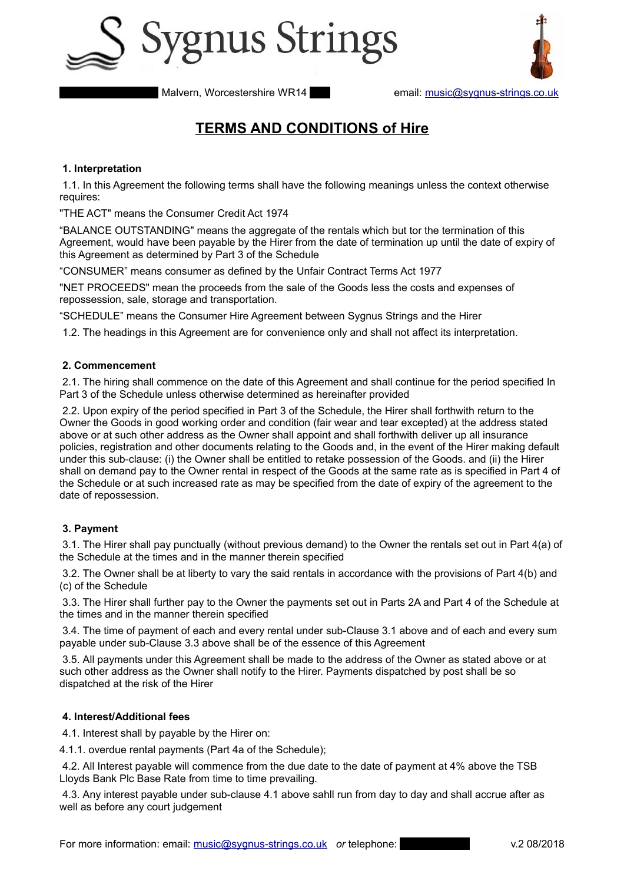



# **TERMS AND CONDITIONS of Hire**

## **1. Interpretation**

 1.1. In this Agreement the following terms shall have the following meanings unless the context otherwise requires:

"THE ACT" means the Consumer Credit Act 1974

"BALANCE OUTSTANDING" means the aggregate of the rentals which but tor the termination of this Agreement, would have been payable by the Hirer from the date of termination up until the date of expiry of this Agreement as determined by Part 3 of the Schedule

"CONSUMER" means consumer as defined by the Unfair Contract Terms Act 1977

"NET PROCEEDS" mean the proceeds from the sale of the Goods less the costs and expenses of repossession, sale, storage and transportation.

"SCHEDULE" means the Consumer Hire Agreement between Sygnus Strings and the Hirer

1.2. The headings in this Agreement are for convenience only and shall not affect its interpretation.

# **2. Commencement**

 2.1. The hiring shall commence on the date of this Agreement and shall continue for the period specified In Part 3 of the Schedule unless otherwise determined as hereinafter provided

 2.2. Upon expiry of the period specified in Part 3 of the Schedule, the Hirer shall forthwith return to the Owner the Goods in good working order and condition (fair wear and tear excepted) at the address stated above or at such other address as the Owner shall appoint and shall forthwith deliver up all insurance policies, registration and other documents relating to the Goods and, in the event of the Hirer making default under this sub-clause: (i) the Owner shall be entitled to retake possession of the Goods. and (ii) the Hirer shall on demand pay to the Owner rental in respect of the Goods at the same rate as is specified in Part 4 of the Schedule or at such increased rate as may be specified from the date of expiry of the agreement to the date of repossession.

# **3. Payment**

 3.1. The Hirer shall pay punctually (without previous demand) to the Owner the rentals set out in Part 4(a) of the Schedule at the times and in the manner therein specified

 3.2. The Owner shall be at liberty to vary the said rentals in accordance with the provisions of Part 4(b) and (c) of the Schedule

 3.3. The Hirer shall further pay to the Owner the payments set out in Parts 2A and Part 4 of the Schedule at the times and in the manner therein specified

 3.4. The time of payment of each and every rental under sub-Clause 3.1 above and of each and every sum payable under sub-Clause 3.3 above shall be of the essence of this Agreement

 3.5. All payments under this Agreement shall be made to the address of the Owner as stated above or at such other address as the Owner shall notify to the Hirer. Payments dispatched by post shall be so dispatched at the risk of the Hirer

# **4. Interest/Additional fees**

4.1. Interest shall by payable by the Hirer on:

4.1.1. overdue rental payments (Part 4a of the Schedule);

 4.2. All Interest payable will commence from the due date to the date of payment at 4% above the TSB Lloyds Bank Plc Base Rate from time to time prevailing.

 4.3. Any interest payable under sub-clause 4.1 above sahll run from day to day and shall accrue after as well as before any court judgement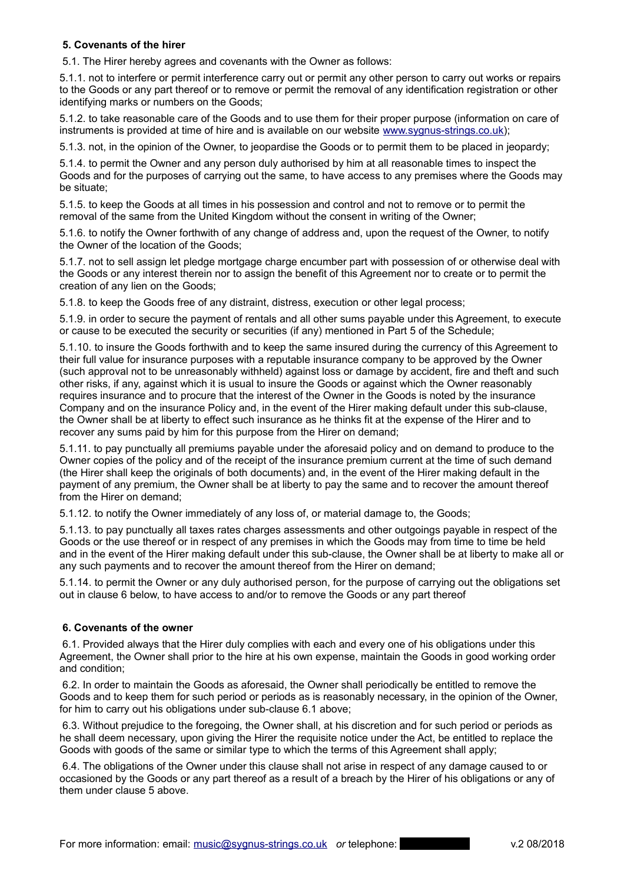# **5. Covenants of the hirer**

5.1. The Hirer hereby agrees and covenants with the Owner as follows:

5.1.1. not to interfere or permit interference carry out or permit any other person to carry out works or repairs to the Goods or any part thereof or to remove or permit the removal of any identification registration or other identifying marks or numbers on the Goods;

5.1.2. to take reasonable care of the Goods and to use them for their proper purpose (information on care of instruments is provided at time of hire and is available on our website [www.sygnus-strings.co.uk\)](http://www.sygnus-strings.co.uk/);

5.1.3. not, in the opinion of the Owner, to jeopardise the Goods or to permit them to be placed in jeopardy;

5.1.4. to permit the Owner and any person duly authorised by him at all reasonable times to inspect the Goods and for the purposes of carrying out the same, to have access to any premises where the Goods may be situate;

5.1.5. to keep the Goods at all times in his possession and control and not to remove or to permit the removal of the same from the United Kingdom without the consent in writing of the Owner;

5.1.6. to notify the Owner forthwith of any change of address and, upon the request of the Owner, to notify the Owner of the location of the Goods;

5.1.7. not to sell assign let pledge mortgage charge encumber part with possession of or otherwise deal with the Goods or any interest therein nor to assign the benefit of this Agreement nor to create or to permit the creation of any lien on the Goods;

5.1.8. to keep the Goods free of any distraint, distress, execution or other legal process;

5.1.9. in order to secure the payment of rentals and all other sums payable under this Agreement, to execute or cause to be executed the security or securities (if any) mentioned in Part 5 of the Schedule;

5.1.10. to insure the Goods forthwith and to keep the same insured during the currency of this Agreement to their full value for insurance purposes with a reputable insurance company to be approved by the Owner (such approval not to be unreasonably withheld) against loss or damage by accident, fire and theft and such other risks, if any, against which it is usual to insure the Goods or against which the Owner reasonably requires insurance and to procure that the interest of the Owner in the Goods is noted by the insurance Company and on the insurance Policy and, in the event of the Hirer making default under this sub-clause, the Owner shall be at liberty to effect such insurance as he thinks fit at the expense of the Hirer and to recover any sums paid by him for this purpose from the Hirer on demand;

5.1.11. to pay punctually all premiums payable under the aforesaid policy and on demand to produce to the Owner copies of the policy and of the receipt of the insurance premium current at the time of such demand (the Hirer shall keep the originals of both documents) and, in the event of the Hirer making default in the payment of any premium, the Owner shall be at liberty to pay the same and to recover the amount thereof from the Hirer on demand;

5.1.12. to notify the Owner immediately of any loss of, or material damage to, the Goods;

5.1.13. to pay punctually all taxes rates charges assessments and other outgoings payable in respect of the Goods or the use thereof or in respect of any premises in which the Goods may from time to time be held and in the event of the Hirer making default under this sub-clause, the Owner shall be at liberty to make all or any such payments and to recover the amount thereof from the Hirer on demand;

5.1.14. to permit the Owner or any duly authorised person, for the purpose of carrying out the obligations set out in clause 6 below, to have access to and/or to remove the Goods or any part thereof

# **6. Covenants of the owner**

 6.1. Provided always that the Hirer duly complies with each and every one of his obligations under this Agreement, the Owner shall prior to the hire at his own expense, maintain the Goods in good working order and condition;

 6.2. In order to maintain the Goods as aforesaid, the Owner shall periodically be entitled to remove the Goods and to keep them for such period or periods as is reasonably necessary, in the opinion of the Owner, for him to carry out his obligations under sub-clause 6.1 above;

 6.3. Without prejudice to the foregoing, the Owner shall, at his discretion and for such period or periods as he shall deem necessary, upon giving the Hirer the requisite notice under the Act, be entitled to replace the Goods with goods of the same or similar type to which the terms of this Agreement shall apply;

 6.4. The obligations of the Owner under this clause shall not arise in respect of any damage caused to or occasioned by the Goods or any part thereof as a result of a breach by the Hirer of his obligations or any of them under clause 5 above.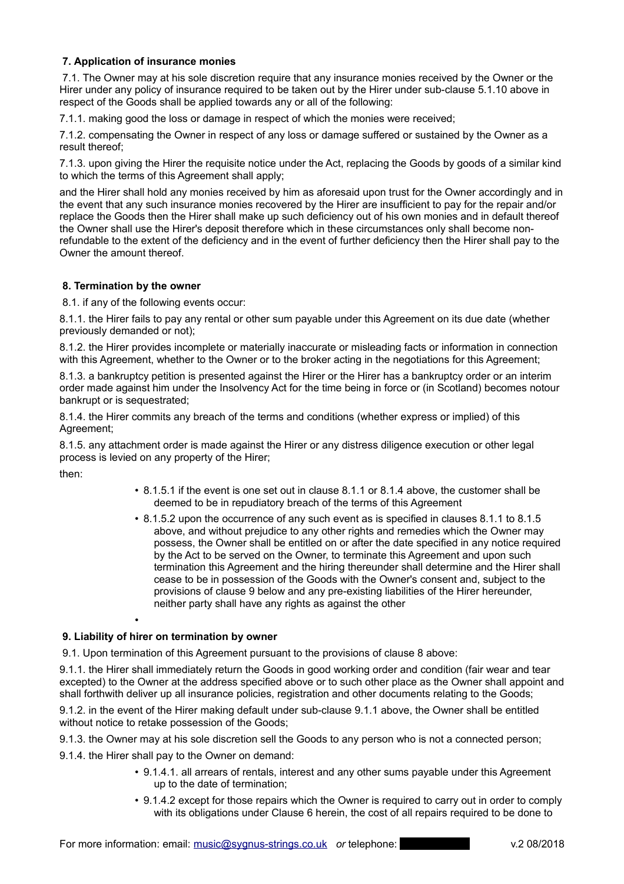# **7. Application of insurance monies**

 7.1. The Owner may at his sole discretion require that any insurance monies received by the Owner or the Hirer under any policy of insurance required to be taken out by the Hirer under sub-clause 5.1.10 above in respect of the Goods shall be applied towards any or all of the following:

7.1.1. making good the loss or damage in respect of which the monies were received;

7.1.2. compensating the Owner in respect of any loss or damage suffered or sustained by the Owner as a result thereof;

7.1.3. upon giving the Hirer the requisite notice under the Act, replacing the Goods by goods of a similar kind to which the terms of this Agreement shall apply;

and the Hirer shall hold any monies received by him as aforesaid upon trust for the Owner accordingly and in the event that any such insurance monies recovered by the Hirer are insufficient to pay for the repair and/or replace the Goods then the Hirer shall make up such deficiency out of his own monies and in default thereof the Owner shall use the Hirer's deposit therefore which in these circumstances only shall become nonrefundable to the extent of the deficiency and in the event of further deficiency then the Hirer shall pay to the Owner the amount thereof.

## **8. Termination by the owner**

8.1. if any of the following events occur:

8.1.1. the Hirer fails to pay any rental or other sum payable under this Agreement on its due date (whether previously demanded or not);

8.1.2. the Hirer provides incomplete or materially inaccurate or misleading facts or information in connection with this Agreement, whether to the Owner or to the broker acting in the negotiations for this Agreement;

8.1.3. a bankruptcy petition is presented against the Hirer or the Hirer has a bankruptcy order or an interim order made against him under the Insolvency Act for the time being in force or (in Scotland) becomes notour bankrupt or is sequestrated;

8.1.4. the Hirer commits any breach of the terms and conditions (whether express or implied) of this Agreement;

8.1.5. any attachment order is made against the Hirer or any distress diligence execution or other legal process is levied on any property of the Hirer;

then:

- 8.1.5.1 if the event is one set out in clause 8.1.1 or 8.1.4 above, the customer shall be deemed to be in repudiatory breach of the terms of this Agreement
- 8.1.5.2 upon the occurrence of any such event as is specified in clauses 8.1.1 to 8.1.5 above, and without prejudice to any other rights and remedies which the Owner may possess, the Owner shall be entitled on or after the date specified in any notice required by the Act to be served on the Owner, to terminate this Agreement and upon such termination this Agreement and the hiring thereunder shall determine and the Hirer shall cease to be in possession of the Goods with the Owner's consent and, subject to the provisions of clause 9 below and any pre-existing liabilities of the Hirer hereunder, neither party shall have any rights as against the other

# **9. Liability of hirer on termination by owner**

•

9.1. Upon termination of this Agreement pursuant to the provisions of clause 8 above:

9.1.1. the Hirer shall immediately return the Goods in good working order and condition (fair wear and tear excepted) to the Owner at the address specified above or to such other place as the Owner shall appoint and shall forthwith deliver up all insurance policies, registration and other documents relating to the Goods;

9.1.2. in the event of the Hirer making default under sub-clause 9.1.1 above, the Owner shall be entitled without notice to retake possession of the Goods;

9.1.3. the Owner may at his sole discretion sell the Goods to any person who is not a connected person;

- 9.1.4. the Hirer shall pay to the Owner on demand:
	- 9.1.4.1. all arrears of rentals, interest and any other sums payable under this Agreement up to the date of termination;
	- 9.1.4.2 except for those repairs which the Owner is required to carry out in order to comply with its obligations under Clause 6 herein, the cost of all repairs required to be done to